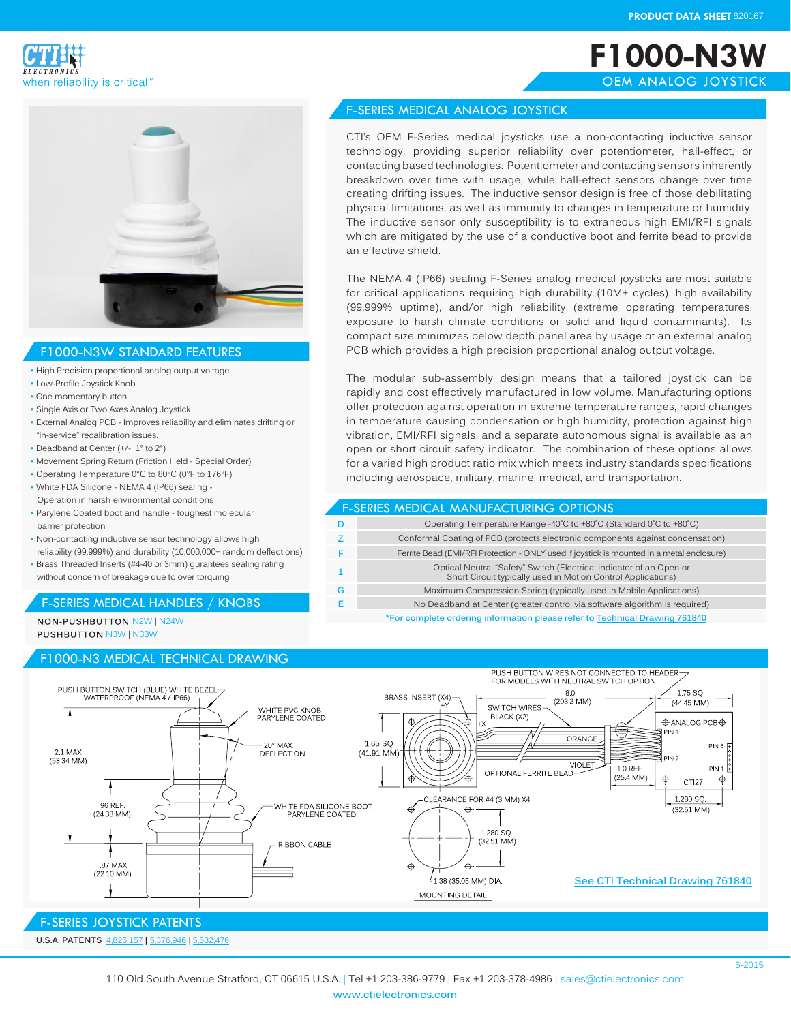**F1000-N3W** OEM ANALOG JOYSTICK





#### F1000-N3W STANDARD FEATURES

- High Precision proportional analog output voltage
- Low-Profile Joystick Knob
- One momentary button
- Single Axis or Two Axes Analog Joystick
- External Analog PCB Improves reliability and eliminates drifting or "in-service" recalibration issues.
- Deadband at Center (+/- 1° to 2°)
- Movement Spring Return (Friction Held Special Order)
- Operating Temperature 0°C to 80°C (0°F to 176°F)
- White FDA Silicone NEMA 4 (IP66) sealing Operation in harsh environmental conditions
- Parylene Coated boot and handle toughest molecular barrier protection
- Non-contacting inductive sensor technology allows high reliability (99.999%) and durability (10,000,000+ random deflections)
- Brass Threaded Inserts (#4-40 or 3mm) gurantees sealing rating without concern of breakage due to over torquing

# F-SERIES MEDICAL HANDLES / KNOBS

NON-PUSHBUTTON N2W IN24W **PUSHBUTTON N3W | N33W** 

### F1000-N3 MEDICAL TECHNICAL DRAWING

# F-SERIES MEDICAL ANALOG JOYSTICK

CTI's OEM F-Series medical joysticks use a non-contacting inductive sensor technology, providing superior reliability over potentiometer, hall-effect, or contacting based technologies. Potentiometer and contacting sensors inherently breakdown over time with usage, while hall-effect sensors change over time creating drifting issues. The inductive sensor design is free of those debilitating physical limitations, as well as immunity to changes in temperature or humidity. The inductive sensor only susceptibility is to extraneous high EMI/RFI signals which are mitigated by the use of a conductive boot and ferrite bead to provide an effective shield.

The NEMA 4 (IP66) sealing F-Series analog medical joysticks are most suitable for critical applications requiring high durability (10M+ cycles), high availability (99.999% uptime), and/or high reliability (extreme operating temperatures, exposure to harsh climate conditions or solid and liquid contaminants). Its compact size minimizes below depth panel area by usage of an external analog PCB which provides a high precision proportional analog output voltage.

The modular sub-assembly design means that a tailored joystick can be rapidly and cost effectively manufactured in low volume. Manufacturing options offer protection against operation in extreme temperature ranges, rapid changes in temperature causing condensation or high humidity, protection against high vibration, EMI/RFI signals, and a separate autonomous signal is available as an open or short circuit safety indicator. The combination of these options allows for a varied high product ratio mix which meets industry standards specifications including aerospace, military, marine, medical, and transportation.

#### F-SERIES MEDICAL MANUFACTURING OPTIONS

|   | Operating Temperature Range -40°C to +80°C (Standard 0°C to +80°C)                                                                  |
|---|-------------------------------------------------------------------------------------------------------------------------------------|
|   | Conformal Coating of PCB (protects electronic components against condensation)                                                      |
|   | Ferrite Bead (EMI/RFI Protection - ONLY used if joystick is mounted in a metal enclosure)                                           |
|   | Optical Neutral "Safety" Switch (Electrical indicator of an Open or<br>Short Circuit typically used in Motion Control Applications) |
| G | Maximum Compression Spring (typically used in Mobile Applications)                                                                  |
|   | No Deadband at Center (greater control via software algorithm is required)                                                          |
|   | *For complete ordering information please refer to Technical Drawing 761840                                                         |

**\*For complete ordering information please refer to [Technical Drawing 7618](http://www.ctielectronics.com/pdf/761840-F1000-N3W-Medical-Joystick.pdf)40**



### **U.S.A. PATENTS** [4,825,1](http://www.ctielectronics.com/pdf/4731530-Joystick-control-having-optical.pdf)57 **|** 5[,376,](http://www.ctielectronics.com/pdf/5376946-Computer-mouse-simulator-device.pdf)946 | [5,532,4](http://www.ctielectronics.com/pdf/5532476-Redundant-indicator-for-detecting-neutral-joystick-position.pdf)76 F-SERIES JOYSTICK PATENTS